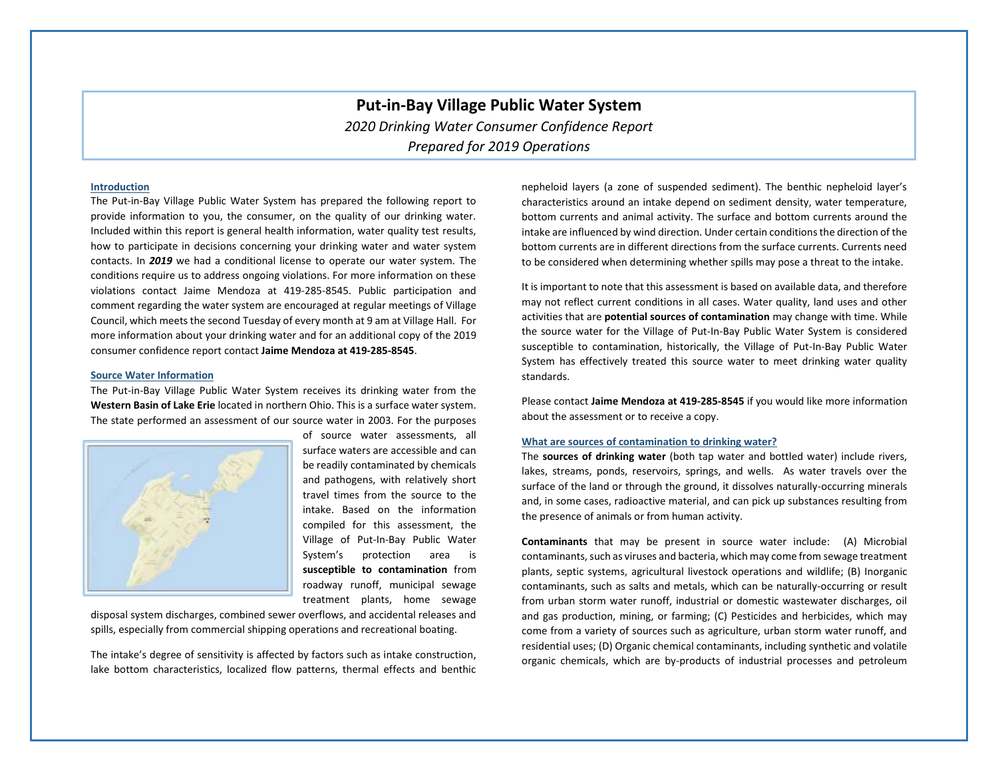# **Put-in-Bay Village Public Water System** *2020 Drinking Water Consumer Confidence Report Prepared for 2019 Operations*

## **Introduction**

The Put-in-Bay Village Public Water System has prepared the following report to provide information to you, the consumer, on the quality of our drinking water. Included within this report is general health information, water quality test results, how to participate in decisions concerning your drinking water and water system contacts. In *2019* we had a conditional license to operate our water system. The conditions require us to address ongoing violations. For more information on these violations contact Jaime Mendoza at 419-285-8545. Public participation and comment regarding the water system are encouraged at regular meetings of Village Council, which meets the second Tuesday of every month at 9 am at Village Hall. For more information about your drinking water and for an additional copy of the 2019 consumer confidence report contact **Jaime Mendoza at 419-285-8545**.

#### **Source Water Information**

The Put-in-Bay Village Public Water System receives its drinking water from the **Western Basin of Lake Erie** located in northern Ohio. This is a surface water system. The state performed an assessment of our source water in 2003. For the purposes



of source water assessments, all surface waters are accessible and can be readily contaminated by chemicals and pathogens, with relatively short travel times from the source to the intake. Based on the information compiled for this assessment, the Village of Put-In-Bay Public Water System's protection area is **susceptible to contamination** from roadway runoff, municipal sewage treatment plants, home sewage

disposal system discharges, combined sewer overflows, and accidental releases and spills, especially from commercial shipping operations and recreational boating.

The intake's degree of sensitivity is affected by factors such as intake construction, lake bottom characteristics, localized flow patterns, thermal effects and benthic

nepheloid layers (a zone of suspended sediment). The benthic nepheloid layer's characteristics around an intake depend on sediment density, water temperature, bottom currents and animal activity. The surface and bottom currents around the intake are influenced by wind direction. Under certain conditionsthe direction of the bottom currents are in different directions from the surface currents. Currents need to be considered when determining whether spills may pose a threat to the intake.

It is important to note that this assessment is based on available data, and therefore may not reflect current conditions in all cases. Water quality, land uses and other activities that are **potential sources of contamination** may change with time. While the source water for the Village of Put-In-Bay Public Water System is considered susceptible to contamination, historically, the Village of Put-In-Bay Public Water System has effectively treated this source water to meet drinking water quality standards.

Please contact **Jaime Mendoza at 419-285-8545** if you would like more information about the assessment or to receive a copy.

#### **What are sources of contamination to drinking water?**

The **sources of drinking water** (both tap water and bottled water) include rivers, lakes, streams, ponds, reservoirs, springs, and wells. As water travels over the surface of the land or through the ground, it dissolves naturally-occurring minerals and, in some cases, radioactive material, and can pick up substances resulting from the presence of animals or from human activity.

**Contaminants** that may be present in source water include: (A) Microbial contaminants, such as viruses and bacteria, which may come from sewage treatment plants, septic systems, agricultural livestock operations and wildlife; (B) Inorganic contaminants, such as salts and metals, which can be naturally-occurring or result from urban storm water runoff, industrial or domestic wastewater discharges, oil and gas production, mining, or farming; (C) Pesticides and herbicides, which may come from a variety of sources such as agriculture, urban storm water runoff, and residential uses; (D) Organic chemical contaminants, including synthetic and volatile organic chemicals, which are by-products of industrial processes and petroleum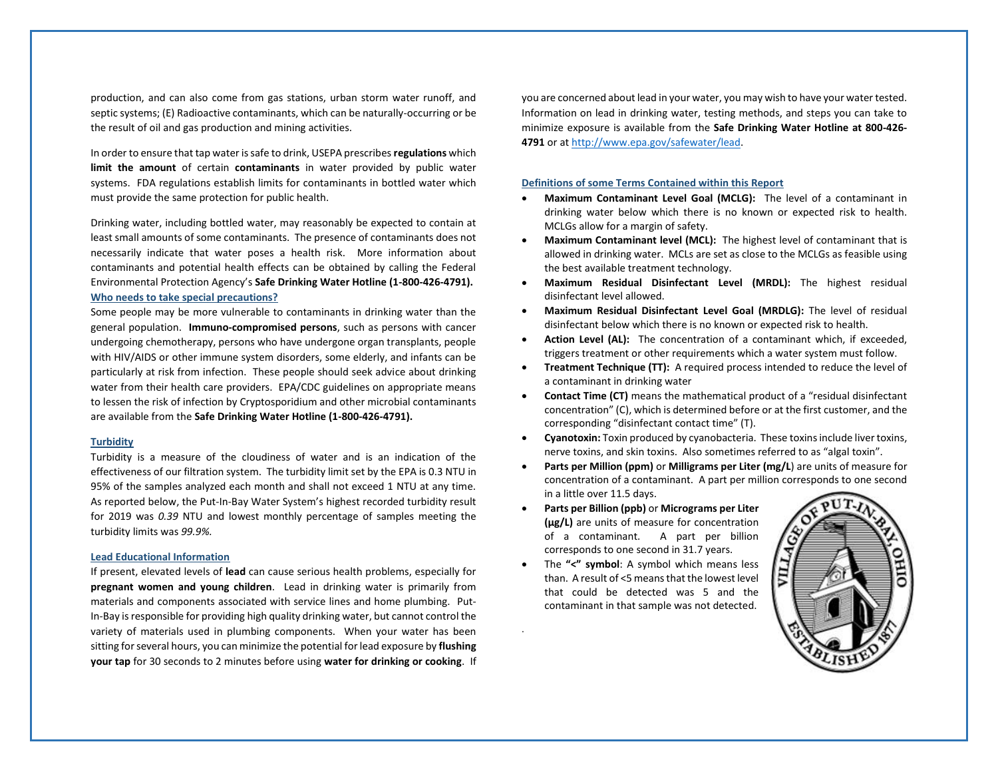production, and can also come from gas stations, urban storm water runoff, and septic systems; (E) Radioactive contaminants, which can be naturally-occurring or be the result of oil and gas production and mining activities.

In order to ensure that tap water is safe to drink, USEPA prescribes **regulations** which **limit the amount** of certain **contaminants** in water provided by public water systems. FDA regulations establish limits for contaminants in bottled water which must provide the same protection for public health.

Drinking water, including bottled water, may reasonably be expected to contain at least small amounts of some contaminants. The presence of contaminants does not necessarily indicate that water poses a health risk. More information about contaminants and potential health effects can be obtained by calling the Federal Environmental Protection Agency's **Safe Drinking Water Hotline (1-800-426-4791). Who needs to take special precautions?** 

Some people may be more vulnerable to contaminants in drinking water than the general population. **Immuno-compromised persons**, such as persons with cancer undergoing chemotherapy, persons who have undergone organ transplants, people with HIV/AIDS or other immune system disorders, some elderly, and infants can be particularly at risk from infection. These people should seek advice about drinking water from their health care providers. EPA/CDC guidelines on appropriate means to lessen the risk of infection by Cryptosporidium and other microbial contaminants are available from the **Safe Drinking Water Hotline (1-800-426-4791).**

#### **Turbidity**

Turbidity is a measure of the cloudiness of water and is an indication of the effectiveness of our filtration system. The turbidity limit set by the EPA is 0.3 NTU in 95% of the samples analyzed each month and shall not exceed 1 NTU at any time. As reported below, the Put-In-Bay Water System's highest recorded turbidity result for 2019 was *0.39* NTU and lowest monthly percentage of samples meeting the turbidity limits was *99.9%.*

### **Lead Educational Information**

If present, elevated levels of **lead** can cause serious health problems, especially for **pregnant women and young children**. Lead in drinking water is primarily from materials and components associated with service lines and home plumbing. Put-In-Bay is responsible for providing high quality drinking water, but cannot control the variety of materials used in plumbing components. When your water has been sitting for several hours, you can minimize the potential for lead exposure by **flushing your tap** for 30 seconds to 2 minutes before using **water for drinking or cooking**. If you are concerned about lead in your water, you may wish to have your water tested. Information on lead in drinking water, testing methods, and steps you can take to minimize exposure is available from the **Safe Drinking Water Hotline at 800-426- 4791** or a[t http://www.epa.gov/safewater/lead.](http://www.epa.gov/safewater/lead)

#### **Definitions of some Terms Contained within this Report**

- **Maximum Contaminant Level Goal (MCLG):** The level of a contaminant in drinking water below which there is no known or expected risk to health. MCLGs allow for a margin of safety.
- **Maximum Contaminant level (MCL):** The highest level of contaminant that is allowed in drinking water. MCLs are set as close to the MCLGs as feasible using the best available treatment technology.
- **Maximum Residual Disinfectant Level (MRDL):** The highest residual disinfectant level allowed.
- **Maximum Residual Disinfectant Level Goal (MRDLG):** The level of residual disinfectant below which there is no known or expected risk to health.
- **Action Level (AL):** The concentration of a contaminant which, if exceeded, triggers treatment or other requirements which a water system must follow.
- **Treatment Technique (TT):** A required process intended to reduce the level of a contaminant in drinking water
- **Contact Time (CT)** means the mathematical product of a "residual disinfectant concentration" (C), which is determined before or at the first customer, and the corresponding "disinfectant contact time" (T).
- **Cyanotoxin:** Toxin produced by cyanobacteria. These toxins include liver toxins, nerve toxins, and skin toxins. Also sometimes referred to as "algal toxin".
- **Parts per Million (ppm)** or **Milligrams per Liter (mg/L**) are units of measure for concentration of a contaminant. A part per million corresponds to one second in a little over 11.5 days.
- **Parts per Billion (ppb)** or **Micrograms per Liter (μg/L)** are units of measure for concentration of a contaminant. A part per billion corresponds to one second in 31.7 years.
- The **"<" symbol**: A symbol which means less than. A result of <5 means that the lowest level that could be detected was 5 and the contaminant in that sample was not detected.

.